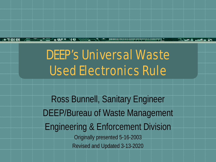## DEEP's Universal Waste Used Electronics Rule

Ross Bunnell, Sanitary Engineer DEEP/Bureau of Waste Management Engineering & Enforcement Division Originally presented 5-16-2003 Revised and Updated 3-13-2020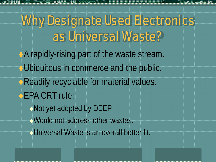# Why Designate Used Electronics as Universal Waste?

- A rapidly-rising part of the waste stream. Ubiquitous in commerce and the public. Readily recyclable for material values. EPA CRT rule: Not yet adopted by DEEP
	- Would not address other wastes.
	- Universal Waste is an overall better fit.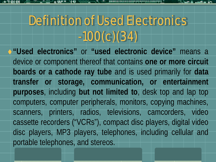# Definition of Used Electronics -100(c)(34)

**"Used electronics"** or **"used electronic device"** means a device or component thereof that contains **one or more circuit boards or a cathode ray tube** and is used primarily for **data transfer or storage, communication, or entertainment purposes**, including **but not limited to**, desk top and lap top computers, computer peripherals, monitors, copying machines, scanners, printers, radios, televisions, camcorders, video cassette recorders ("VCRs"), compact disc players, digital video disc players, MP3 players, telephones, including cellular and portable telephones, and stereos.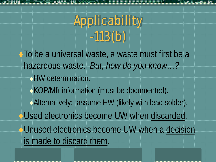# Applicability -113(b)

To be a universal waste, a waste must first be a hazardous waste. *But, how do you know…?* HW determination. KOP/Mfr information (must be documented). Alternatively: assume HW (likely with lead solder). Used electronics become UW when discarded. Unused electronics become UW when a decision is made to discard them.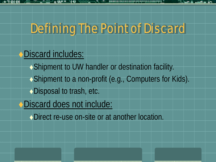### Defining The Point of Discard

#### Discard includes:

Shipment to UW handler or destination facility. ◆ Shipment to a non-profit (e.g., Computers for Kids). ◆ Disposal to trash, etc.

#### Discard does not include:

◆ Direct re-use on-site or at another location.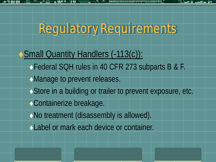## Regulatory Requirements

Small Quantity Handlers (-113(c)): ◆Federal SQH rules in 40 CFR 273 subparts B & F. Manage to prevent releases. ◆ Store in a building or trailer to prevent exposure, etc. Containerize breakage. No treatment (disassembly is allowed). Label or mark each device or container.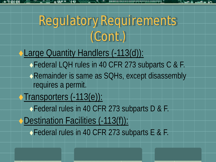## Regulatory Requirements (Cont.)

Large Quantity Handlers (-113(d)): ◆Federal LQH rules in 40 CFR 273 subparts C & F. Remainder is same as SQHs, except disassembly requires a permit. Transporters (-113(e)): ◆ Federal rules in 40 CFR 273 subparts D & F. Destination Facilities (-113(f)): Federal rules in 40 CFR 273 subparts E & F.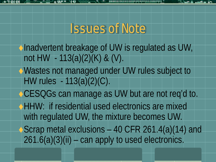### Issues of Note

- Inadvertent breakage of UW is regulated as UW, not HW  $-113(a)(2)(K)$  & (V).
- Wastes not managed under UW rules subject to HW rules - 113(a)(2)(C).
- CESQGs can manage as UW but are not req'd to.
- HHW: if residential used electronics are mixed with regulated UW, the mixture becomes UW.
- Scrap metal exclusions 40 CFR 261.4(a)(14) and  $261.6(a)(3)(ii)$  – can apply to used electronics.